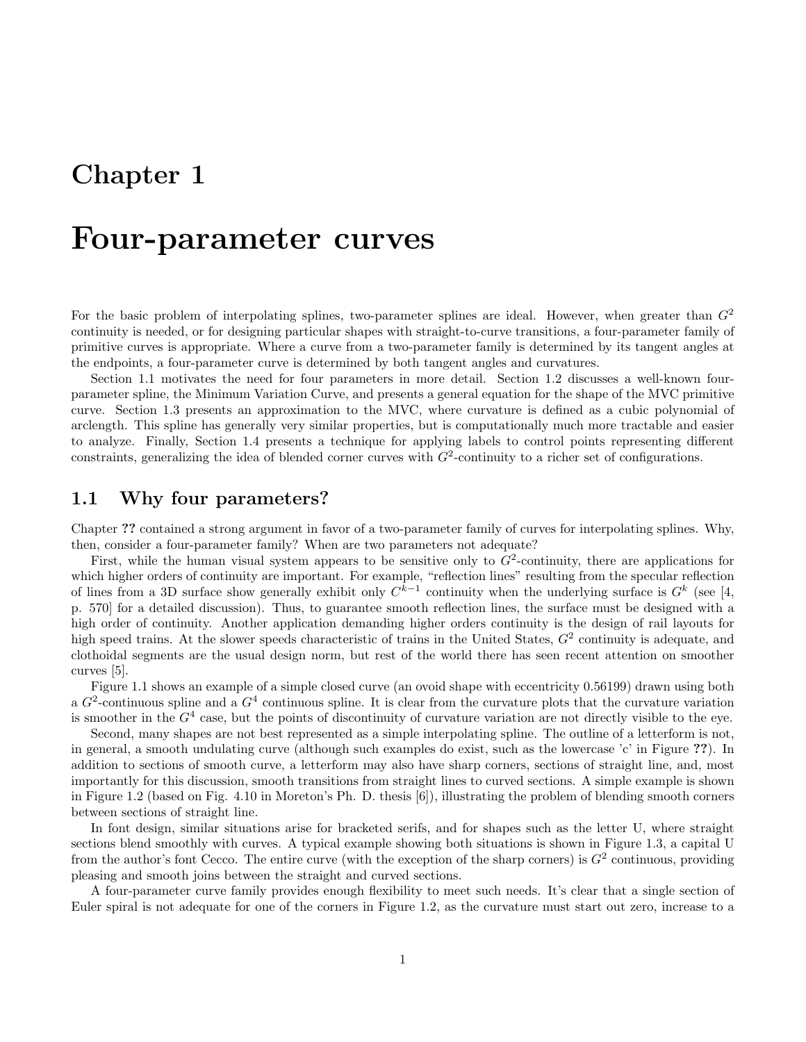## Chapter 1

## Four-parameter curves

For the basic problem of interpolating splines, two-parameter splines are ideal. However, when greater than  $G<sup>2</sup>$ continuity is needed, or for designing particular shapes with straight-to-curve transitions, a four-parameter family of primitive curves is appropriate. Where a curve from a two-parameter family is determined by its tangent angles at the endpoints, a four-parameter curve is determined by both tangent angles and curvatures.

Section 1.1 motivates the need for four parameters in more detail. Section 1.2 discusses a well-known fourparameter spline, the Minimum Variation Curve, and presents a general equation for the shape of the MVC primitive curve. Section 1.3 presents an approximation to the MVC, where curvature is defined as a cubic polynomial of arclength. This spline has generally very similar properties, but is computationally much more tractable and easier to analyze. Finally, Section 1.4 presents a technique for applying labels to control points representing different constraints, generalizing the idea of blended corner curves with  $G^2$ -continuity to a richer set of configurations.

### 1.1 Why four parameters?

Chapter ?? contained a strong argument in favor of a two-parameter family of curves for interpolating splines. Why, then, consider a four-parameter family? When are two parameters not adequate?

First, while the human visual system appears to be sensitive only to  $G^2$ -continuity, there are applications for which higher orders of continuity are important. For example, "reflection lines" resulting from the specular reflection of lines from a 3D surface show generally exhibit only  $C^{k-1}$  continuity when the underlying surface is  $G^k$  (see [4, p. 570] for a detailed discussion). Thus, to guarantee smooth reflection lines, the surface must be designed with a high order of continuity. Another application demanding higher orders continuity is the design of rail layouts for high speed trains. At the slower speeds characteristic of trains in the United States,  $G<sup>2</sup>$  continuity is adequate, and clothoidal segments are the usual design norm, but rest of the world there has seen recent attention on smoother curves [5].

Figure 1.1 shows an example of a simple closed curve (an ovoid shape with eccentricity 0.56199) drawn using both a  $G^2$ -continuous spline and a  $G^4$  continuous spline. It is clear from the curvature plots that the curvature variation is smoother in the  $G<sup>4</sup>$  case, but the points of discontinuity of curvature variation are not directly visible to the eye.

Second, many shapes are not best represented as a simple interpolating spline. The outline of a letterform is not, in general, a smooth undulating curve (although such examples do exist, such as the lowercase 'c' in Figure ??). In addition to sections of smooth curve, a letterform may also have sharp corners, sections of straight line, and, most importantly for this discussion, smooth transitions from straight lines to curved sections. A simple example is shown in Figure 1.2 (based on Fig. 4.10 in Moreton's Ph. D. thesis [6]), illustrating the problem of blending smooth corners between sections of straight line.

In font design, similar situations arise for bracketed serifs, and for shapes such as the letter U, where straight sections blend smoothly with curves. A typical example showing both situations is shown in Figure 1.3, a capital U from the author's font Cecco. The entire curve (with the exception of the sharp corners) is  $G^2$  continuous, providing pleasing and smooth joins between the straight and curved sections.

A four-parameter curve family provides enough flexibility to meet such needs. It's clear that a single section of Euler spiral is not adequate for one of the corners in Figure 1.2, as the curvature must start out zero, increase to a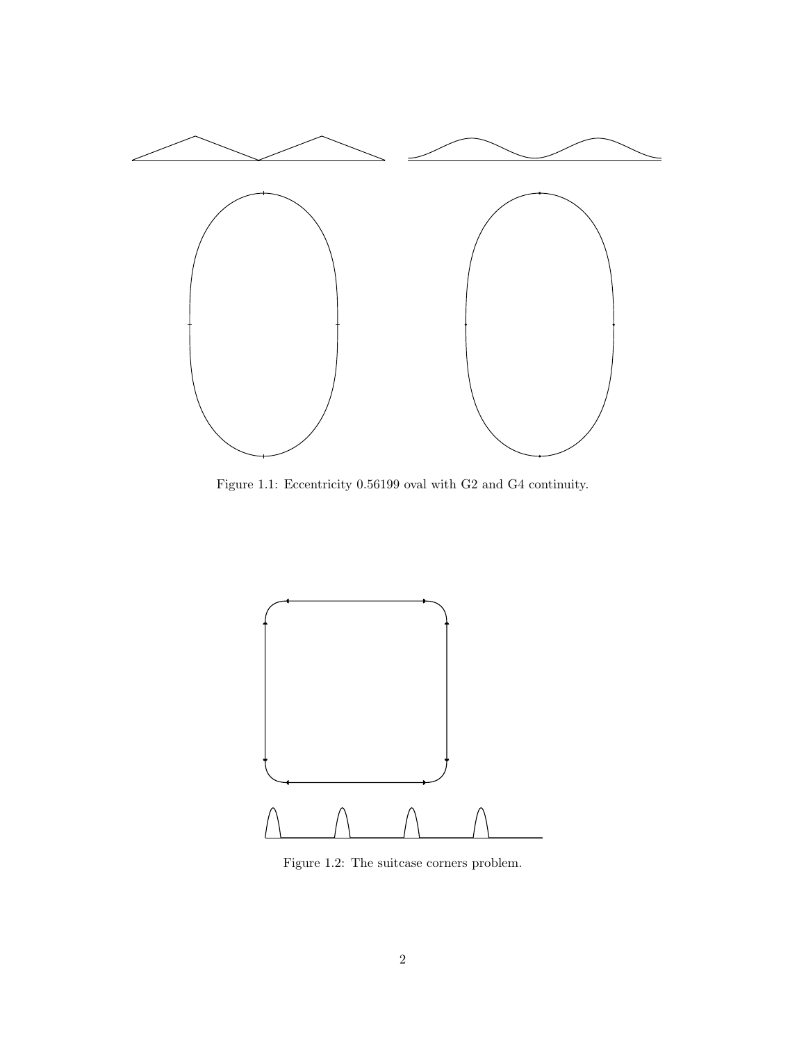

Figure 1.1: Eccentricity 0.56199 oval with G2 and G4 continuity.



Figure 1.2: The suitcase corners problem.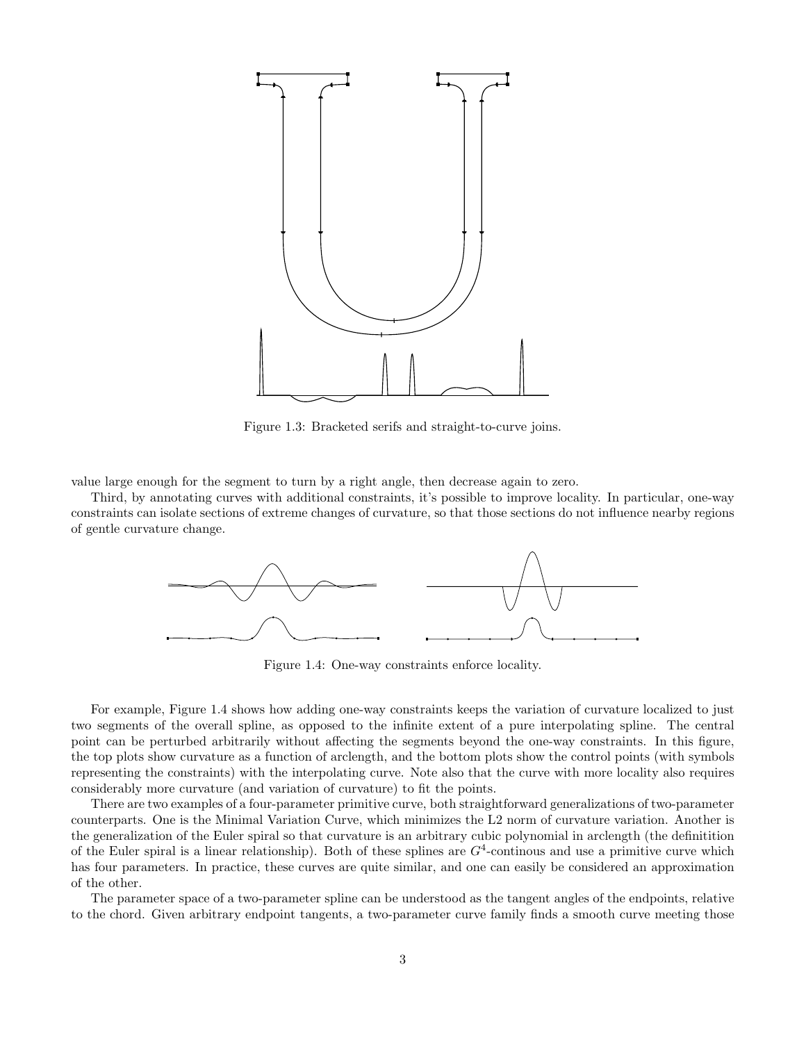

Figure 1.3: Bracketed serifs and straight-to-curve joins.

value large enough for the segment to turn by a right angle, then decrease again to zero.

Third, by annotating curves with additional constraints, it's possible to improve locality. In particular, one-way constraints can isolate sections of extreme changes of curvature, so that those sections do not influence nearby regions of gentle curvature change.



Figure 1.4: One-way constraints enforce locality.

For example, Figure 1.4 shows how adding one-way constraints keeps the variation of curvature localized to just two segments of the overall spline, as opposed to the infinite extent of a pure interpolating spline. The central point can be perturbed arbitrarily without affecting the segments beyond the one-way constraints. In this figure, the top plots show curvature as a function of arclength, and the bottom plots show the control points (with symbols representing the constraints) with the interpolating curve. Note also that the curve with more locality also requires considerably more curvature (and variation of curvature) to fit the points.

There are two examples of a four-parameter primitive curve, both straightforward generalizations of two-parameter counterparts. One is the Minimal Variation Curve, which minimizes the L2 norm of curvature variation. Another is the generalization of the Euler spiral so that curvature is an arbitrary cubic polynomial in arclength (the definitition of the Euler spiral is a linear relationship). Both of these splines are  $G<sup>4</sup>$ -continous and use a primitive curve which has four parameters. In practice, these curves are quite similar, and one can easily be considered an approximation of the other.

The parameter space of a two-parameter spline can be understood as the tangent angles of the endpoints, relative to the chord. Given arbitrary endpoint tangents, a two-parameter curve family finds a smooth curve meeting those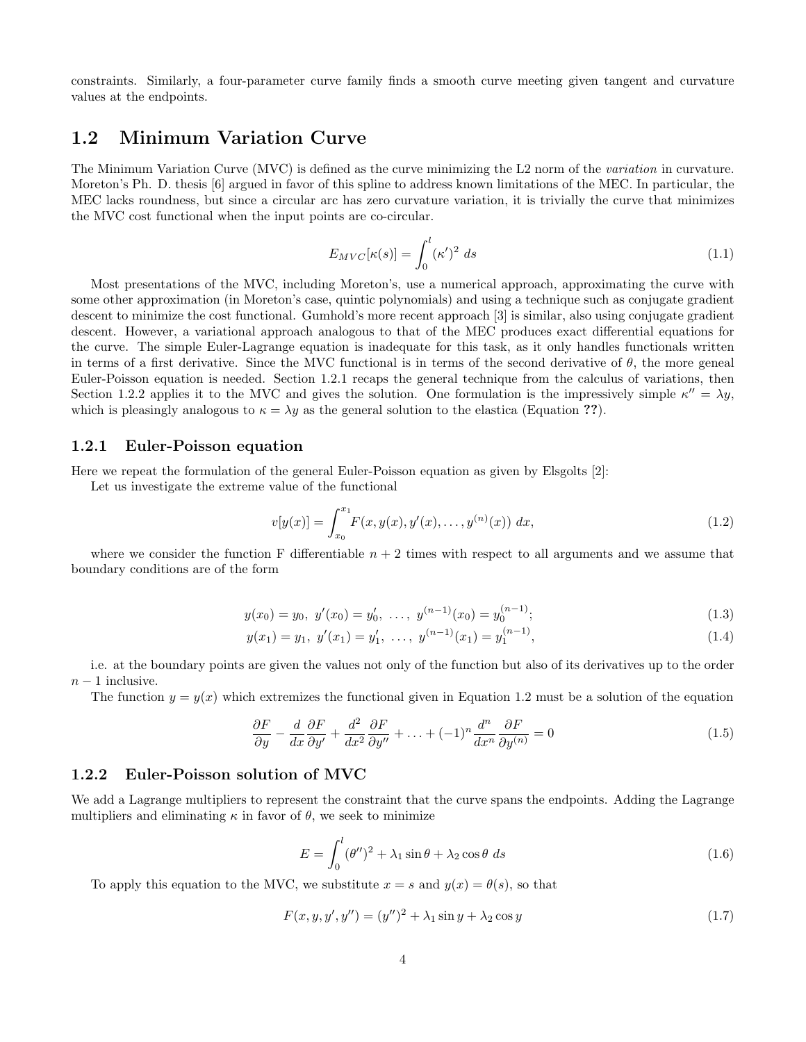constraints. Similarly, a four-parameter curve family finds a smooth curve meeting given tangent and curvature values at the endpoints.

## 1.2 Minimum Variation Curve

The Minimum Variation Curve (MVC) is defined as the curve minimizing the L2 norm of the variation in curvature. Moreton's Ph. D. thesis [6] argued in favor of this spline to address known limitations of the MEC. In particular, the MEC lacks roundness, but since a circular arc has zero curvature variation, it is trivially the curve that minimizes the MVC cost functional when the input points are co-circular.

$$
E_{MVC}[\kappa(s)] = \int_0^l (\kappa')^2 ds \tag{1.1}
$$

Most presentations of the MVC, including Moreton's, use a numerical approach, approximating the curve with some other approximation (in Moreton's case, quintic polynomials) and using a technique such as conjugate gradient descent to minimize the cost functional. Gumhold's more recent approach [3] is similar, also using conjugate gradient descent. However, a variational approach analogous to that of the MEC produces exact differential equations for the curve. The simple Euler-Lagrange equation is inadequate for this task, as it only handles functionals written in terms of a first derivative. Since the MVC functional is in terms of the second derivative of  $\theta$ , the more geneal Euler-Poisson equation is needed. Section 1.2.1 recaps the general technique from the calculus of variations, then Section 1.2.2 applies it to the MVC and gives the solution. One formulation is the impressively simple  $\kappa'' = \lambda y$ , which is pleasingly analogous to  $\kappa = \lambda y$  as the general solution to the elastica (Equation ??).

#### 1.2.1 Euler-Poisson equation

Here we repeat the formulation of the general Euler-Poisson equation as given by Elsgolts [2]:

Let us investigate the extreme value of the functional

$$
v[y(x)] = \int_{x_0}^{x_1} F(x, y(x), y'(x), \dots, y^{(n)}(x)) dx,
$$
\n(1.2)

where we consider the function F differentiable  $n + 2$  times with respect to all arguments and we assume that boundary conditions are of the form

$$
y(x_0) = y_0, \ y'(x_0) = y'_0, \ \dots, \ y^{(n-1)}(x_0) = y_0^{(n-1)};
$$
\n(1.3)

$$
y(x_1) = y_1, \ y'(x_1) = y'_1, \ \ldots, \ y^{(n-1)}(x_1) = y_1^{(n-1)}, \tag{1.4}
$$

i.e. at the boundary points are given the values not only of the function but also of its derivatives up to the order  $n-1$  inclusive.

The function  $y = y(x)$  which extremizes the functional given in Equation 1.2 must be a solution of the equation

$$
\frac{\partial F}{\partial y} - \frac{d}{dx} \frac{\partial F}{\partial y'} + \frac{d^2}{dx^2} \frac{\partial F}{\partial y''} + \dots + (-1)^n \frac{d^n}{dx^n} \frac{\partial F}{\partial y^{(n)}} = 0 \tag{1.5}
$$

#### 1.2.2 Euler-Poisson solution of MVC

We add a Lagrange multipliers to represent the constraint that the curve spans the endpoints. Adding the Lagrange multipliers and eliminating  $\kappa$  in favor of  $\theta$ , we seek to minimize

$$
E = \int_0^l (\theta'')^2 + \lambda_1 \sin \theta + \lambda_2 \cos \theta \, ds \tag{1.6}
$$

To apply this equation to the MVC, we substitute  $x = s$  and  $y(x) = \theta(s)$ , so that

$$
F(x, y, y', y'') = (y'')^{2} + \lambda_{1} \sin y + \lambda_{2} \cos y
$$
\n(1.7)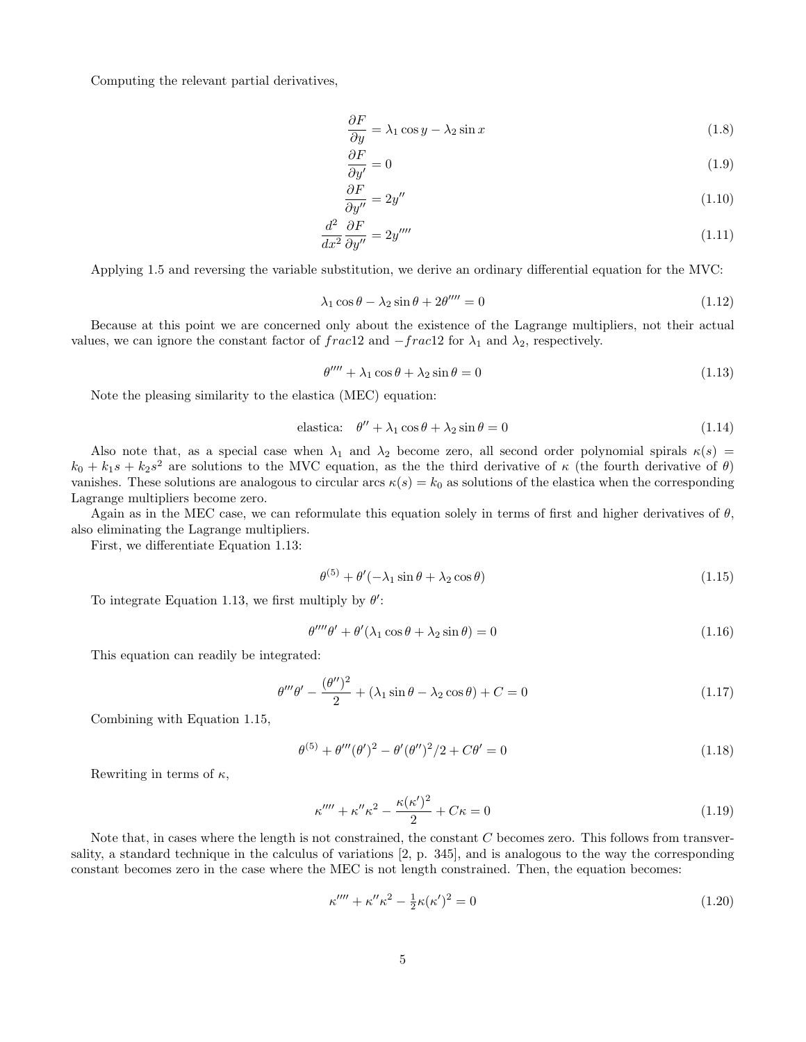Computing the relevant partial derivatives,

$$
\frac{\partial F}{\partial y} = \lambda_1 \cos y - \lambda_2 \sin x \tag{1.8}
$$

$$
\frac{\partial F}{\partial y'} = 0\tag{1.9}
$$

$$
\frac{\partial F}{\partial y''} = 2y'' \tag{1.10}
$$

$$
\frac{d^2}{dx^2}\frac{\partial F}{\partial y''} = 2y''''\tag{1.11}
$$

Applying 1.5 and reversing the variable substitution, we derive an ordinary differential equation for the MVC:

$$
\lambda_1 \cos \theta - \lambda_2 \sin \theta + 2\theta''' = 0 \tag{1.12}
$$

Because at this point we are concerned only about the existence of the Lagrange multipliers, not their actual values, we can ignore the constant factor of frac12 and  $-frac{rac12}$  for  $\lambda_1$  and  $\lambda_2$ , respectively.

$$
\theta'''' + \lambda_1 \cos \theta + \lambda_2 \sin \theta = 0 \tag{1.13}
$$

Note the pleasing similarity to the elastica (MEC) equation:

$$
\text{elastic:} \quad \theta'' + \lambda_1 \cos \theta + \lambda_2 \sin \theta = 0 \tag{1.14}
$$

Also note that, as a special case when  $\lambda_1$  and  $\lambda_2$  become zero, all second order polynomial spirals  $\kappa(s)$  =  $k_0 + k_1s + k_2s^2$  are solutions to the MVC equation, as the the third derivative of  $\kappa$  (the fourth derivative of  $\theta$ ) vanishes. These solutions are analogous to circular arcs  $\kappa(s) = k_0$  as solutions of the elastica when the corresponding Lagrange multipliers become zero.

Again as in the MEC case, we can reformulate this equation solely in terms of first and higher derivatives of  $\theta$ , also eliminating the Lagrange multipliers.

First, we differentiate Equation 1.13:

$$
\theta^{(5)} + \theta'(-\lambda_1 \sin \theta + \lambda_2 \cos \theta) \tag{1.15}
$$

To integrate Equation 1.13, we first multiply by  $\theta'$ :

$$
\theta^{\prime\prime\prime\prime}\theta^{\prime} + \theta^{\prime}(\lambda_1\cos\theta + \lambda_2\sin\theta) = 0
$$
\n(1.16)

This equation can readily be integrated:

$$
\theta''' \theta' - \frac{(\theta'')^2}{2} + (\lambda_1 \sin \theta - \lambda_2 \cos \theta) + C = 0
$$
\n(1.17)

Combining with Equation 1.15,

$$
\theta^{(5)} + \theta'''(\theta')^2 - \theta'(\theta'')^2/2 + C\theta' = 0
$$
\n(1.18)

Rewriting in terms of  $\kappa$ ,

$$
\kappa^{\prime\prime\prime\prime} + \kappa^{\prime\prime}\kappa^2 - \frac{\kappa(\kappa^{\prime})^2}{2} + C\kappa = 0\tag{1.19}
$$

Note that, in cases where the length is not constrained, the constant C becomes zero. This follows from transversality, a standard technique in the calculus of variations [2, p. 345], and is analogous to the way the corresponding constant becomes zero in the case where the MEC is not length constrained. Then, the equation becomes:

$$
\kappa'''' + \kappa''\kappa^2 - \frac{1}{2}\kappa(\kappa')^2 = 0\tag{1.20}
$$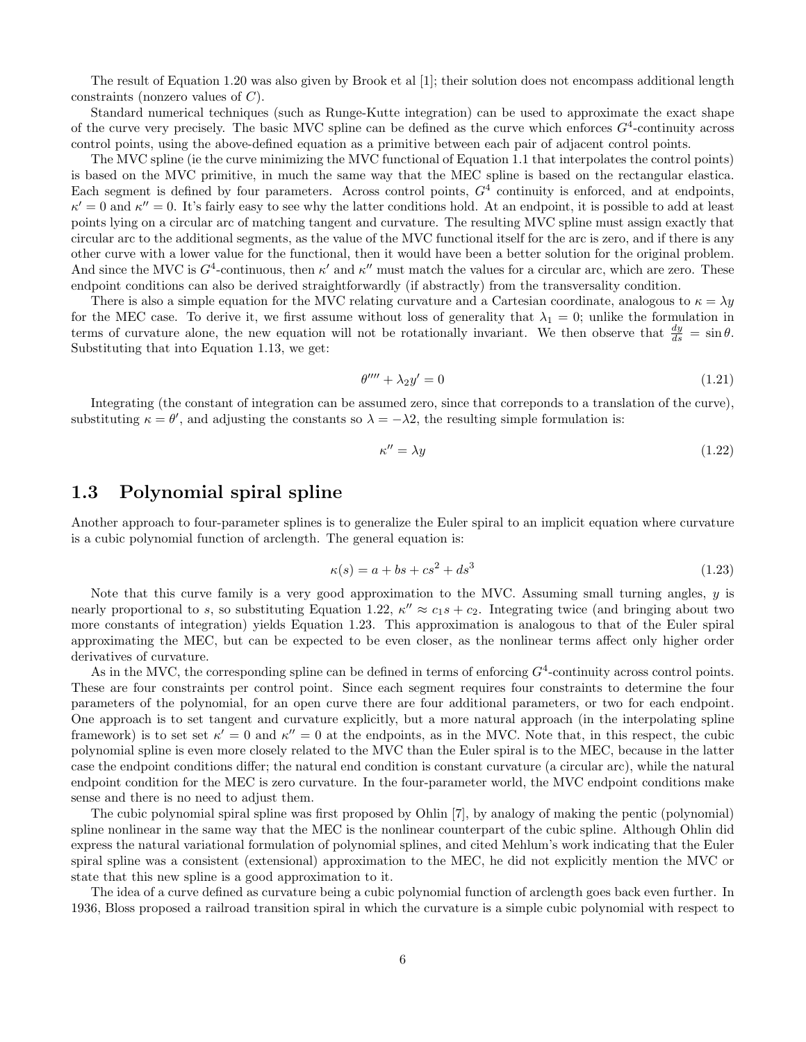The result of Equation 1.20 was also given by Brook et al [1]; their solution does not encompass additional length constraints (nonzero values of C).

Standard numerical techniques (such as Runge-Kutte integration) can be used to approximate the exact shape of the curve very precisely. The basic MVC spline can be defined as the curve which enforces  $G^4$ -continuity across control points, using the above-defined equation as a primitive between each pair of adjacent control points.

The MVC spline (ie the curve minimizing the MVC functional of Equation 1.1 that interpolates the control points) is based on the MVC primitive, in much the same way that the MEC spline is based on the rectangular elastica. Each segment is defined by four parameters. Across control points,  $G<sup>4</sup>$  continuity is enforced, and at endpoints,  $\kappa' = 0$  and  $\kappa'' = 0$ . It's fairly easy to see why the latter conditions hold. At an endpoint, it is possible to add at least points lying on a circular arc of matching tangent and curvature. The resulting MVC spline must assign exactly that circular arc to the additional segments, as the value of the MVC functional itself for the arc is zero, and if there is any other curve with a lower value for the functional, then it would have been a better solution for the original problem. And since the MVC is  $G^4$ -continuous, then  $\kappa'$  and  $\kappa''$  must match the values for a circular arc, which are zero. These endpoint conditions can also be derived straightforwardly (if abstractly) from the transversality condition.

There is also a simple equation for the MVC relating curvature and a Cartesian coordinate, analogous to  $\kappa = \lambda y$ for the MEC case. To derive it, we first assume without loss of generality that  $\lambda_1 = 0$ ; unlike the formulation in terms of curvature alone, the new equation will not be rotationally invariant. We then observe that  $\frac{dy}{ds} = \sin \theta$ . Substituting that into Equation 1.13, we get:

$$
\theta'''' + \lambda_2 y' = 0 \tag{1.21}
$$

Integrating (the constant of integration can be assumed zero, since that correponds to a translation of the curve), substituting  $\kappa = \theta'$ , and adjusting the constants so  $\lambda = -\lambda 2$ , the resulting simple formulation is:

$$
\kappa'' = \lambda y \tag{1.22}
$$

## 1.3 Polynomial spiral spline

Another approach to four-parameter splines is to generalize the Euler spiral to an implicit equation where curvature is a cubic polynomial function of arclength. The general equation is:

$$
\kappa(s) = a + bs + cs^2 + ds^3 \tag{1.23}
$$

Note that this curve family is a very good approximation to the MVC. Assuming small turning angles, y is nearly proportional to s, so substituting Equation 1.22,  $\kappa'' \approx c_1 s + c_2$ . Integrating twice (and bringing about two more constants of integration) yields Equation 1.23. This approximation is analogous to that of the Euler spiral approximating the MEC, but can be expected to be even closer, as the nonlinear terms affect only higher order derivatives of curvature.

As in the MVC, the corresponding spline can be defined in terms of enforcing  $G<sup>4</sup>$ -continuity across control points. These are four constraints per control point. Since each segment requires four constraints to determine the four parameters of the polynomial, for an open curve there are four additional parameters, or two for each endpoint. One approach is to set tangent and curvature explicitly, but a more natural approach (in the interpolating spline framework) is to set set  $\kappa' = 0$  and  $\kappa'' = 0$  at the endpoints, as in the MVC. Note that, in this respect, the cubic polynomial spline is even more closely related to the MVC than the Euler spiral is to the MEC, because in the latter case the endpoint conditions differ; the natural end condition is constant curvature (a circular arc), while the natural endpoint condition for the MEC is zero curvature. In the four-parameter world, the MVC endpoint conditions make sense and there is no need to adjust them.

The cubic polynomial spiral spline was first proposed by Ohlin [7], by analogy of making the pentic (polynomial) spline nonlinear in the same way that the MEC is the nonlinear counterpart of the cubic spline. Although Ohlin did express the natural variational formulation of polynomial splines, and cited Mehlum's work indicating that the Euler spiral spline was a consistent (extensional) approximation to the MEC, he did not explicitly mention the MVC or state that this new spline is a good approximation to it.

The idea of a curve defined as curvature being a cubic polynomial function of arclength goes back even further. In 1936, Bloss proposed a railroad transition spiral in which the curvature is a simple cubic polynomial with respect to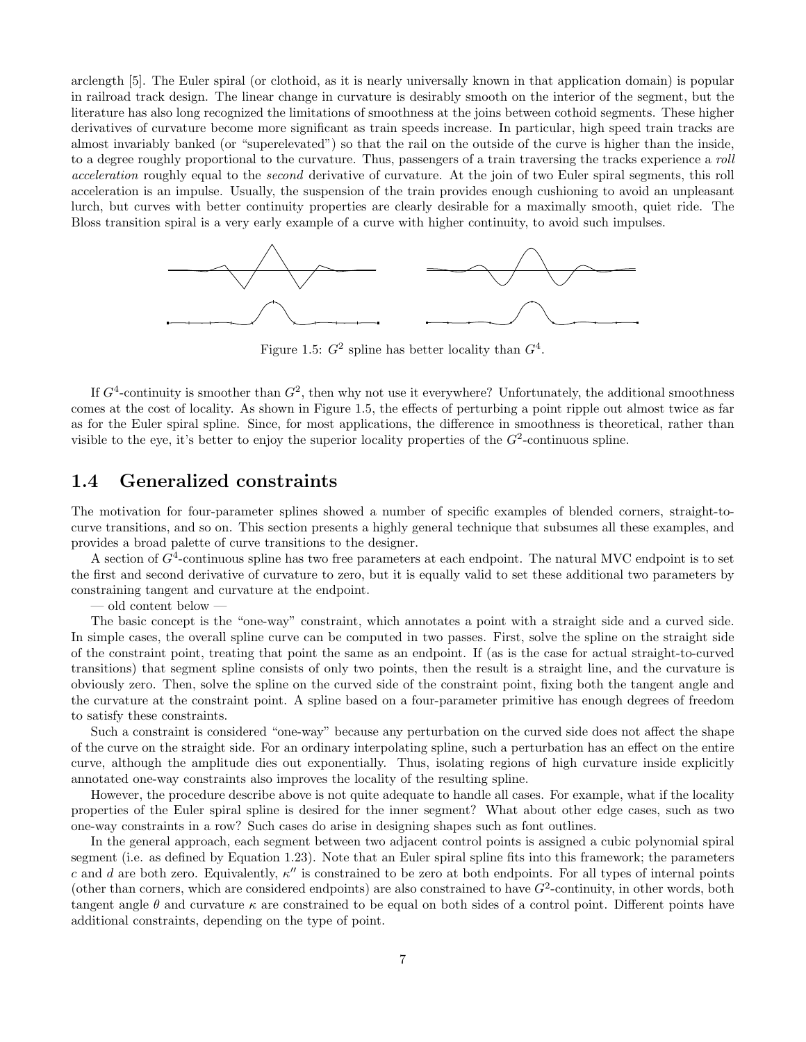arclength [5]. The Euler spiral (or clothoid, as it is nearly universally known in that application domain) is popular in railroad track design. The linear change in curvature is desirably smooth on the interior of the segment, but the literature has also long recognized the limitations of smoothness at the joins between cothoid segments. These higher derivatives of curvature become more significant as train speeds increase. In particular, high speed train tracks are almost invariably banked (or "superelevated") so that the rail on the outside of the curve is higher than the inside, to a degree roughly proportional to the curvature. Thus, passengers of a train traversing the tracks experience a roll acceleration roughly equal to the second derivative of curvature. At the join of two Euler spiral segments, this roll acceleration is an impulse. Usually, the suspension of the train provides enough cushioning to avoid an unpleasant lurch, but curves with better continuity properties are clearly desirable for a maximally smooth, quiet ride. The Bloss transition spiral is a very early example of a curve with higher continuity, to avoid such impulses.



Figure 1.5:  $G^2$  spline has better locality than  $G^4$ .

If  $G<sup>4</sup>$ -continuity is smoother than  $G<sup>2</sup>$ , then why not use it everywhere? Unfortunately, the additional smoothness comes at the cost of locality. As shown in Figure 1.5, the effects of perturbing a point ripple out almost twice as far as for the Euler spiral spline. Since, for most applications, the difference in smoothness is theoretical, rather than visible to the eye, it's better to enjoy the superior locality properties of the  $G^2$ -continuous spline.

### 1.4 Generalized constraints

The motivation for four-parameter splines showed a number of specific examples of blended corners, straight-tocurve transitions, and so on. This section presents a highly general technique that subsumes all these examples, and provides a broad palette of curve transitions to the designer.

A section of  $G<sup>4</sup>$ -continuous spline has two free parameters at each endpoint. The natural MVC endpoint is to set the first and second derivative of curvature to zero, but it is equally valid to set these additional two parameters by constraining tangent and curvature at the endpoint.

— old content below —

The basic concept is the "one-way" constraint, which annotates a point with a straight side and a curved side. In simple cases, the overall spline curve can be computed in two passes. First, solve the spline on the straight side of the constraint point, treating that point the same as an endpoint. If (as is the case for actual straight-to-curved transitions) that segment spline consists of only two points, then the result is a straight line, and the curvature is obviously zero. Then, solve the spline on the curved side of the constraint point, fixing both the tangent angle and the curvature at the constraint point. A spline based on a four-parameter primitive has enough degrees of freedom to satisfy these constraints.

Such a constraint is considered "one-way" because any perturbation on the curved side does not affect the shape of the curve on the straight side. For an ordinary interpolating spline, such a perturbation has an effect on the entire curve, although the amplitude dies out exponentially. Thus, isolating regions of high curvature inside explicitly annotated one-way constraints also improves the locality of the resulting spline.

However, the procedure describe above is not quite adequate to handle all cases. For example, what if the locality properties of the Euler spiral spline is desired for the inner segment? What about other edge cases, such as two one-way constraints in a row? Such cases do arise in designing shapes such as font outlines.

In the general approach, each segment between two adjacent control points is assigned a cubic polynomial spiral segment (i.e. as defined by Equation 1.23). Note that an Euler spiral spline fits into this framework; the parameters c and d are both zero. Equivalently,  $\kappa''$  is constrained to be zero at both endpoints. For all types of internal points (other than corners, which are considered endpoints) are also constrained to have  $G^2$ -continuity, in other words, both tangent angle  $\theta$  and curvature  $\kappa$  are constrained to be equal on both sides of a control point. Different points have additional constraints, depending on the type of point.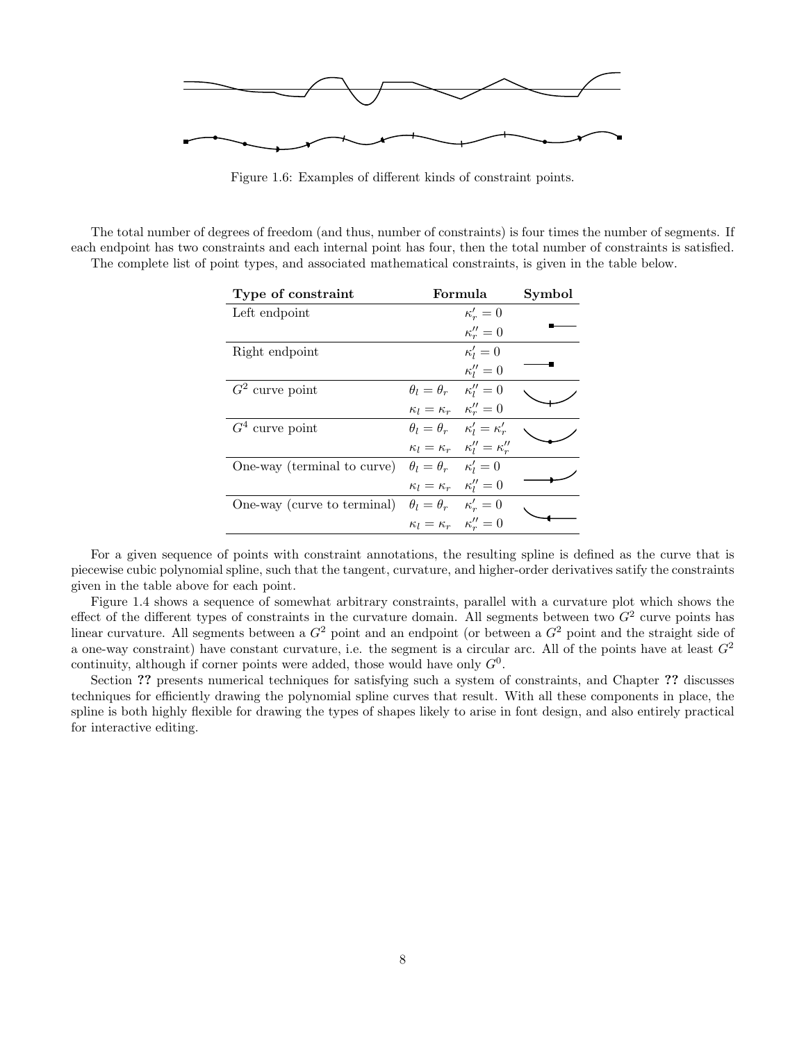

Figure 1.6: Examples of different kinds of constraint points.

The total number of degrees of freedom (and thus, number of constraints) is four times the number of segments. If each endpoint has two constraints and each internal point has four, then the total number of constraints is satisfied. The complete list of point types, and associated mathematical constraints, is given in the table below.

| Type of constraint                                                | Formula                                       |                                                     | Symbol |
|-------------------------------------------------------------------|-----------------------------------------------|-----------------------------------------------------|--------|
| Left endpoint                                                     |                                               | $\kappa'_r=0$                                       |        |
|                                                                   |                                               | $\kappa''_r=0$                                      |        |
| Right endpoint                                                    |                                               | $\kappa'_l=0$                                       |        |
|                                                                   |                                               | $\kappa_l''=0$                                      |        |
| $G2$ curve point                                                  | $\theta_l = \theta_r$ $\kappa_l'' = 0$        |                                                     |        |
|                                                                   | $\kappa_l = \kappa_r \quad \kappa_r'' = 0$    |                                                     |        |
| $G4$ curve point                                                  | $\theta_l = \theta_r$ $\kappa'_l = \kappa'_r$ |                                                     |        |
|                                                                   |                                               | $\kappa_l = \kappa_r \quad \kappa''_l = \kappa''_r$ |        |
| One-way (terminal to curve)                                       | $\theta_l = \theta_r$ $\kappa'_l = 0$         |                                                     |        |
|                                                                   | $\kappa_l = \kappa_r \quad \kappa_l'' = 0$    |                                                     |        |
| One-way (curve to terminal) $\theta_l = \theta_r$ $\kappa'_r = 0$ |                                               |                                                     |        |
|                                                                   | $\kappa_l = \kappa_r \quad \kappa_r'' = 0$    |                                                     |        |

For a given sequence of points with constraint annotations, the resulting spline is defined as the curve that is piecewise cubic polynomial spline, such that the tangent, curvature, and higher-order derivatives satify the constraints given in the table above for each point.

Figure 1.4 shows a sequence of somewhat arbitrary constraints, parallel with a curvature plot which shows the effect of the different types of constraints in the curvature domain. All segments between two  $G^2$  curve points has linear curvature. All segments between a  $G<sup>2</sup>$  point and an endpoint (or between a  $G<sup>2</sup>$  point and the straight side of a one-way constraint) have constant curvature, i.e. the segment is a circular arc. All of the points have at least  $G<sup>2</sup>$ continuity, although if corner points were added, those would have only  $G^0$ .

Section ?? presents numerical techniques for satisfying such a system of constraints, and Chapter ?? discusses techniques for efficiently drawing the polynomial spline curves that result. With all these components in place, the spline is both highly flexible for drawing the types of shapes likely to arise in font design, and also entirely practical for interactive editing.